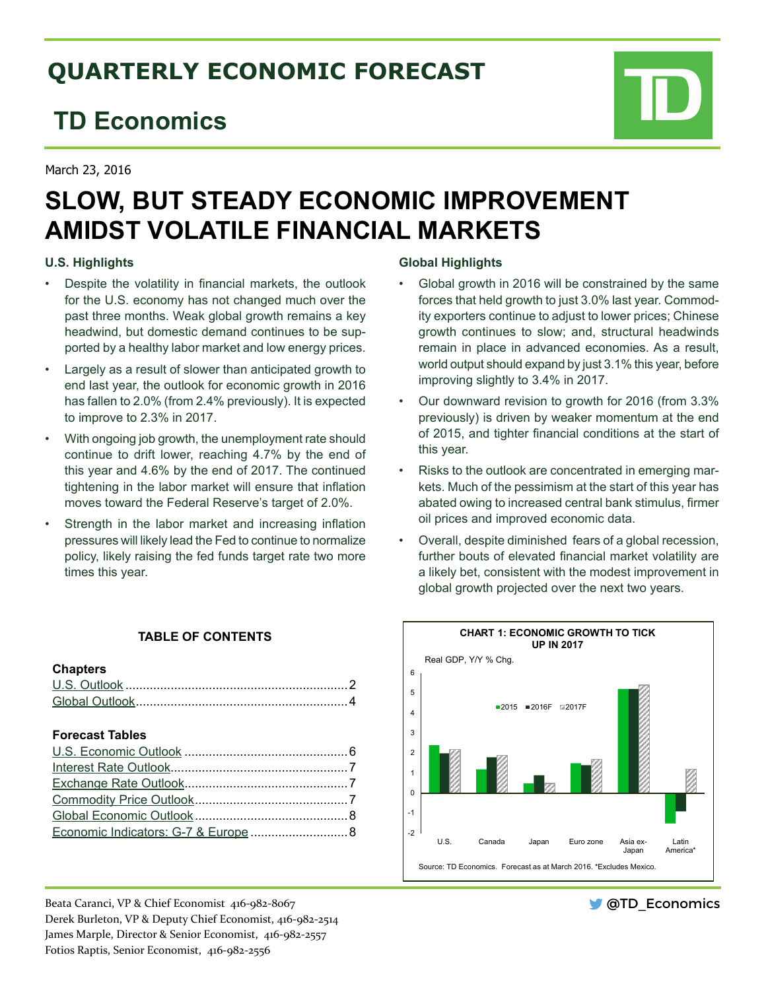# **QUARTERLY ECONOMIC FORECAST**

# **TD Economics**

March 23, 2016

# **SLOW, BUT STEADY ECONOMIC IMPROVEMENT AMIDST VOLATILE FINANCIAL MARKETS**

## **U.S. Highlights**

- • Despite the volatility in financial markets, the outlook for the U.S. economy has not changed much over the past three months. Weak global growth remains a key headwind, but domestic demand continues to be supported by a healthy labor market and low energy prices.
- Largely as a result of slower than anticipated growth to end last year, the outlook for economic growth in 2016 has fallen to 2.0% (from 2.4% previously). It is expected to improve to 2.3% in 2017.
- With ongoing job growth, the unemployment rate should continue to drift lower, reaching 4.7% by the end of this year and 4.6% by the end of 2017. The continued tightening in the labor market will ensure that inflation moves toward the Federal Reserve's target of 2.0%.
- Strength in the labor market and increasing inflation pressures will likely lead the Fed to continue to normalize policy, likely raising the fed funds target rate two more times this year.

# **TABLE OF CONTENTS**

### **Chapters**

## **Forecast Tables**

Beata Caranci, VP & Chief Economist 416-982-8067 Derek Burleton, VP & Deputy Chief Economist, 416-982-2514 James Marple, Director & Senior Economist, 416-982-2557 Fotios Raptis, Senior Economist, 416-982-2556

## **Global Highlights**

- Global growth in 2016 will be constrained by the same forces that held growth to just 3.0% last year. Commodity exporters continue to adjust to lower prices; Chinese growth continues to slow; and, structural headwinds remain in place in advanced economies. As a result, world output should expand by just 3.1% this year, before improving slightly to 3.4% in 2017.
- Our downward revision to growth for 2016 (from 3.3%) previously) is driven by weaker momentum at the end of 2015, and tighter financial conditions at the start of this year.
- Risks to the outlook are concentrated in emerging markets. Much of the pessimism at the start of this year has abated owing to increased central bank stimulus, firmer oil prices and improved economic data.
- Overall, despite diminished fears of a global recession, further bouts of elevated financial market volatility are a likely bet, consistent with the modest improvement in global growth projected over the next two years.



**OTD** Economics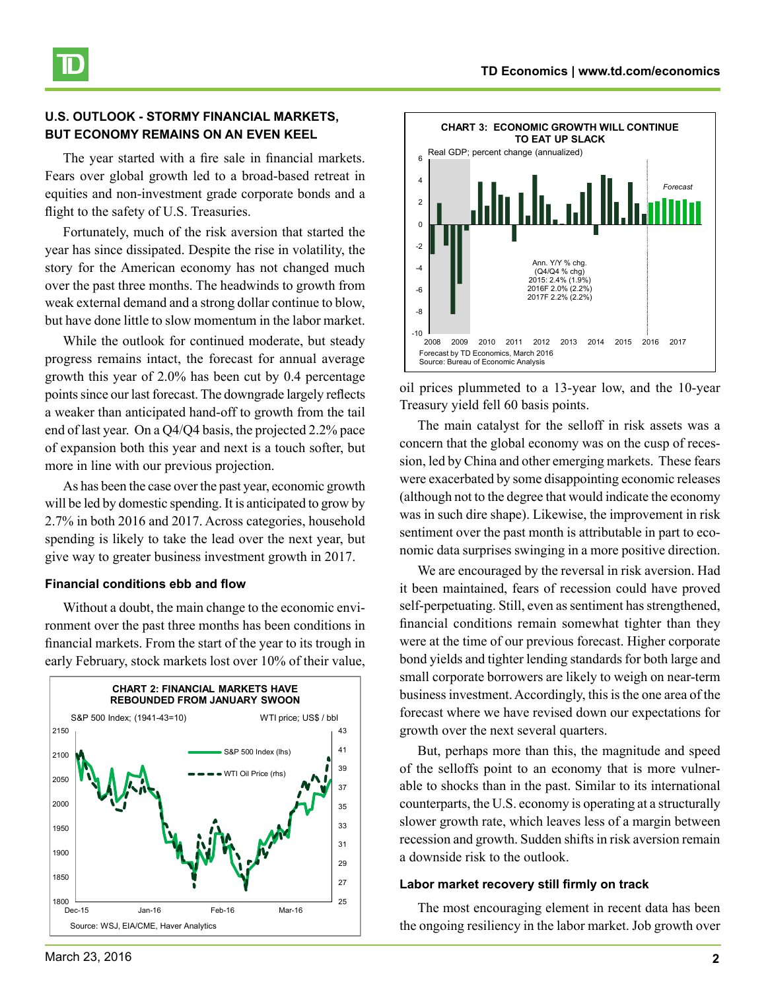

## <span id="page-1-0"></span>**U.S. OUTLOOK - STORMY FINANCIAL MARKETS, BUT ECONOMY REMAINS ON AN EVEN KEEL**

The year started with a fire sale in financial markets. Fears over global growth led to a broad-based retreat in equities and non-investment grade corporate bonds and a flight to the safety of U.S. Treasuries.

Fortunately, much of the risk aversion that started the year has since dissipated. Despite the rise in volatility, the story for the American economy has not changed much over the past three months. The headwinds to growth from weak external demand and a strong dollar continue to blow, but have done little to slow momentum in the labor market.

While the outlook for continued moderate, but steady progress remains intact, the forecast for annual average growth this year of 2.0% has been cut by 0.4 percentage points since our last forecast. The downgrade largely reflects a weaker than anticipated hand-off to growth from the tail end of last year. On a Q4/Q4 basis, the projected 2.2% pace of expansion both this year and next is a touch softer, but more in line with our previous projection.

As has been the case over the past year, economic growth will be led by domestic spending. It is anticipated to grow by 2.7% in both 2016 and 2017. Across categories, household spending is likely to take the lead over the next year, but give way to greater business investment growth in 2017.

#### **Financial conditions ebb and flow**

Without a doubt, the main change to the economic environment over the past three months has been conditions in financial markets. From the start of the year to its trough in early February, stock markets lost over 10% of their value,





oil prices plummeted to a 13-year low, and the 10-year Treasury yield fell 60 basis points.

The main catalyst for the selloff in risk assets was a concern that the global economy was on the cusp of recession, led by China and other emerging markets. These fears were exacerbated by some disappointing economic releases (although not to the degree that would indicate the economy was in such dire shape). Likewise, the improvement in risk sentiment over the past month is attributable in part to economic data surprises swinging in a more positive direction.

We are encouraged by the reversal in risk aversion. Had it been maintained, fears of recession could have proved self-perpetuating. Still, even as sentiment has strengthened, financial conditions remain somewhat tighter than they were at the time of our previous forecast. Higher corporate bond yields and tighter lending standards for both large and small corporate borrowers are likely to weigh on near-term business investment. Accordingly, this is the one area of the forecast where we have revised down our expectations for growth over the next several quarters.

But, perhaps more than this, the magnitude and speed of the selloffs point to an economy that is more vulnerable to shocks than in the past. Similar to its international counterparts, the U.S. economy is operating at a structurally slower growth rate, which leaves less of a margin between recession and growth. Sudden shifts in risk aversion remain a downside risk to the outlook.

#### **Labor market recovery still firmly on track**

The most encouraging element in recent data has been the ongoing resiliency in the labor market. Job growth over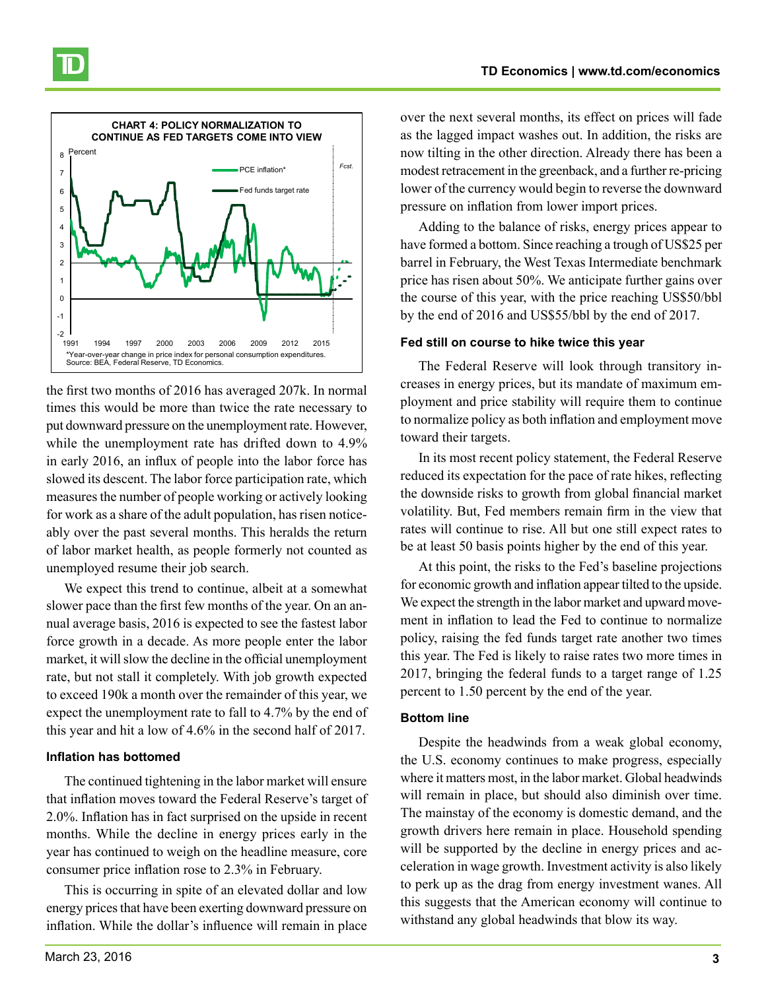

the first two months of 2016 has averaged 207k. In normal times this would be more than twice the rate necessary to put downward pressure on the unemployment rate. However, while the unemployment rate has drifted down to 4.9% in early 2016, an influx of people into the labor force has slowed its descent. The labor force participation rate, which measures the number of people working or actively looking for work as a share of the adult population, has risen noticeably over the past several months. This heralds the return of labor market health, as people formerly not counted as unemployed resume their job search.

We expect this trend to continue, albeit at a somewhat slower pace than the first few months of the year. On an annual average basis, 2016 is expected to see the fastest labor force growth in a decade. As more people enter the labor market, it will slow the decline in the official unemployment rate, but not stall it completely. With job growth expected to exceed 190k a month over the remainder of this year, we expect the unemployment rate to fall to 4.7% by the end of this year and hit a low of 4.6% in the second half of 2017.

#### **Inflation has bottomed**

The continued tightening in the labor market will ensure that inflation moves toward the Federal Reserve's target of 2.0%. Inflation has in fact surprised on the upside in recent months. While the decline in energy prices early in the year has continued to weigh on the headline measure, core consumer price inflation rose to 2.3% in February.

This is occurring in spite of an elevated dollar and low energy prices that have been exerting downward pressure on inflation. While the dollar's influence will remain in place over the next several months, its effect on prices will fade as the lagged impact washes out. In addition, the risks are now tilting in the other direction. Already there has been a modest retracement in the greenback, and a further re-pricing lower of the currency would begin to reverse the downward pressure on inflation from lower import prices.

Adding to the balance of risks, energy prices appear to have formed a bottom. Since reaching a trough of US\$25 per barrel in February, the West Texas Intermediate benchmark price has risen about 50%. We anticipate further gains over the course of this year, with the price reaching US\$50/bbl by the end of 2016 and US\$55/bbl by the end of 2017.

## **Fed still on course to hike twice this year**

The Federal Reserve will look through transitory increases in energy prices, but its mandate of maximum employment and price stability will require them to continue to normalize policy as both inflation and employment move toward their targets.

In its most recent policy statement, the Federal Reserve reduced its expectation for the pace of rate hikes, reflecting the downside risks to growth from global financial market volatility. But, Fed members remain firm in the view that rates will continue to rise. All but one still expect rates to be at least 50 basis points higher by the end of this year.

At this point, the risks to the Fed's baseline projections for economic growth and inflation appear tilted to the upside. We expect the strength in the labor market and upward movement in inflation to lead the Fed to continue to normalize policy, raising the fed funds target rate another two times this year. The Fed is likely to raise rates two more times in 2017, bringing the federal funds to a target range of 1.25 percent to 1.50 percent by the end of the year.

# **Bottom line**

Despite the headwinds from a weak global economy, the U.S. economy continues to make progress, especially where it matters most, in the labor market. Global headwinds will remain in place, but should also diminish over time. The mainstay of the economy is domestic demand, and the growth drivers here remain in place. Household spending will be supported by the decline in energy prices and acceleration in wage growth. Investment activity is also likely to perk up as the drag from energy investment wanes. All this suggests that the American economy will continue to withstand any global headwinds that blow its way.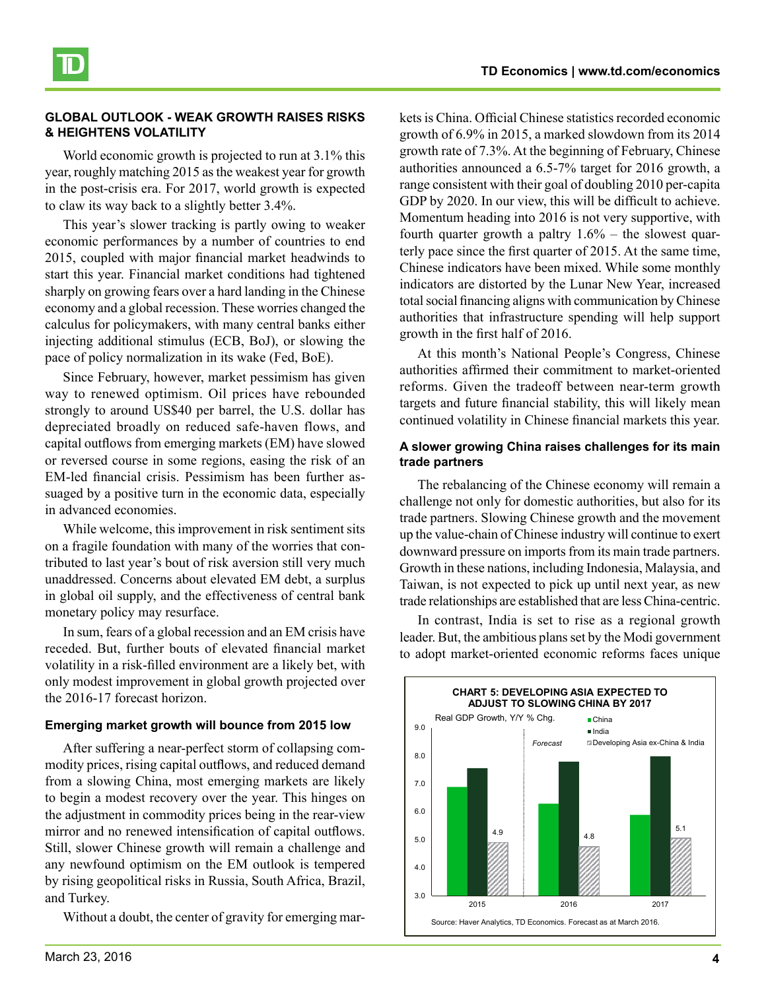

### <span id="page-3-0"></span>**GLOBAL OUTLOOK - WEAK GROWTH RAISES RISKS & HEIGHTENS VOLATILITY**

World economic growth is projected to run at 3.1% this year, roughly matching 2015 as the weakest year for growth in the post-crisis era. For 2017, world growth is expected to claw its way back to a slightly better 3.4%.

This year's slower tracking is partly owing to weaker economic performances by a number of countries to end 2015, coupled with major financial market headwinds to start this year. Financial market conditions had tightened sharply on growing fears over a hard landing in the Chinese economy and a global recession. These worries changed the calculus for policymakers, with many central banks either injecting additional stimulus (ECB, BoJ), or slowing the pace of policy normalization in its wake (Fed, BoE).

Since February, however, market pessimism has given way to renewed optimism. Oil prices have rebounded strongly to around US\$40 per barrel, the U.S. dollar has depreciated broadly on reduced safe-haven flows, and capital outflows from emerging markets (EM) have slowed or reversed course in some regions, easing the risk of an EM-led financial crisis. Pessimism has been further assuaged by a positive turn in the economic data, especially in advanced economies.

While welcome, this improvement in risk sentiment sits on a fragile foundation with many of the worries that contributed to last year's bout of risk aversion still very much unaddressed. Concerns about elevated EM debt, a surplus in global oil supply, and the effectiveness of central bank monetary policy may resurface.

In sum, fears of a global recession and an EM crisis have receded. But, further bouts of elevated financial market volatility in a risk-filled environment are a likely bet, with only modest improvement in global growth projected over the 2016-17 forecast horizon.

#### **Emerging market growth will bounce from 2015 low**

After suffering a near-perfect storm of collapsing commodity prices, rising capital outflows, and reduced demand from a slowing China, most emerging markets are likely to begin a modest recovery over the year. This hinges on the adjustment in commodity prices being in the rear-view mirror and no renewed intensification of capital outflows. Still, slower Chinese growth will remain a challenge and any newfound optimism on the EM outlook is tempered by rising geopolitical risks in Russia, South Africa, Brazil, and Turkey.

Without a doubt, the center of gravity for emerging mar-

kets is China. Official Chinese statistics recorded economic growth of 6.9% in 2015, a marked slowdown from its 2014 growth rate of 7.3%. At the beginning of February, Chinese authorities announced a 6.5-7% target for 2016 growth, a range consistent with their goal of doubling 2010 per-capita GDP by 2020. In our view, this will be difficult to achieve. Momentum heading into 2016 is not very supportive, with fourth quarter growth a paltry  $1.6\%$  – the slowest quarterly pace since the first quarter of 2015. At the same time, Chinese indicators have been mixed. While some monthly indicators are distorted by the Lunar New Year, increased total social financing aligns with communication by Chinese authorities that infrastructure spending will help support growth in the first half of 2016.

At this month's National People's Congress, Chinese authorities affirmed their commitment to market-oriented reforms. Given the tradeoff between near-term growth targets and future financial stability, this will likely mean continued volatility in Chinese financial markets this year.

#### **A slower growing China raises challenges for its main trade partners**

The rebalancing of the Chinese economy will remain a challenge not only for domestic authorities, but also for its trade partners. Slowing Chinese growth and the movement up the value-chain of Chinese industry will continue to exert downward pressure on imports from its main trade partners. Growth in these nations, including Indonesia, Malaysia, and Taiwan, is not expected to pick up until next year, as new trade relationships are established that are less China-centric.

In contrast, India is set to rise as a regional growth leader. But, the ambitious plans set by the Modi government to adopt market-oriented economic reforms faces unique

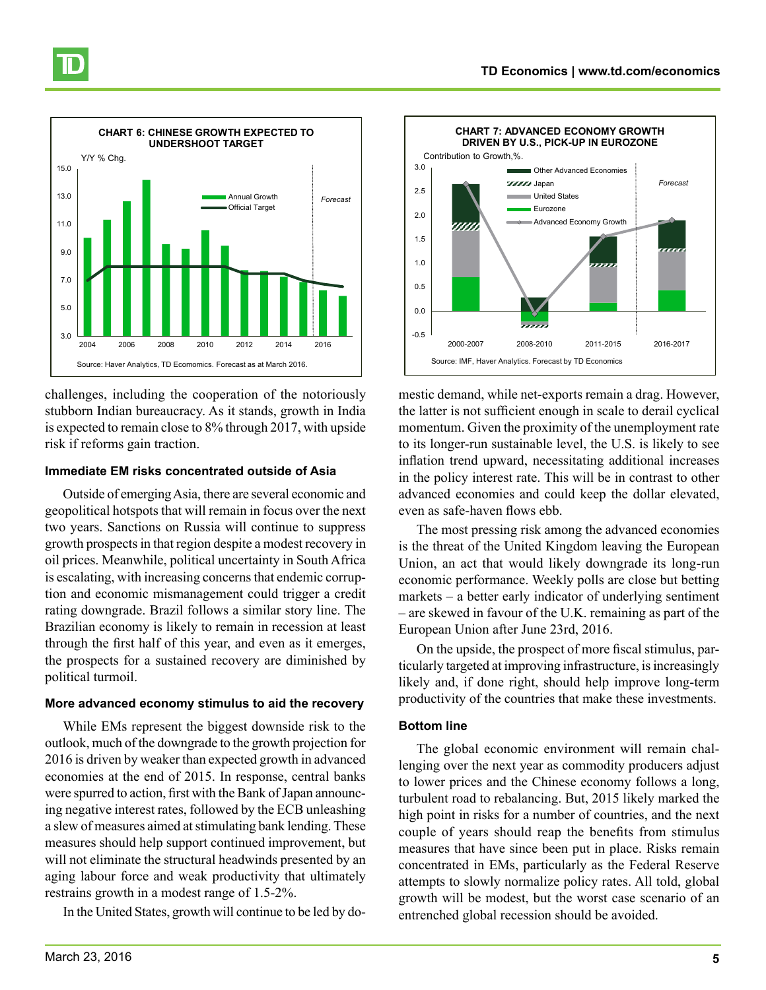

challenges, including the cooperation of the notoriously stubborn Indian bureaucracy. As it stands, growth in India is expected to remain close to 8% through 2017, with upside risk if reforms gain traction.

#### **Immediate EM risks concentrated outside of Asia**

Outside of emerging Asia, there are several economic and geopolitical hotspots that will remain in focus over the next two years. Sanctions on Russia will continue to suppress growth prospects in that region despite a modest recovery in oil prices. Meanwhile, political uncertainty in South Africa is escalating, with increasing concerns that endemic corruption and economic mismanagement could trigger a credit rating downgrade. Brazil follows a similar story line. The Brazilian economy is likely to remain in recession at least through the first half of this year, and even as it emerges, the prospects for a sustained recovery are diminished by political turmoil.

#### **More advanced economy stimulus to aid the recovery**

While EMs represent the biggest downside risk to the outlook, much of the downgrade to the growth projection for 2016 is driven by weaker than expected growth in advanced economies at the end of 2015. In response, central banks were spurred to action, first with the Bank of Japan announcing negative interest rates, followed by the ECB unleashing a slew of measures aimed at stimulating bank lending. These measures should help support continued improvement, but will not eliminate the structural headwinds presented by an aging labour force and weak productivity that ultimately restrains growth in a modest range of 1.5-2%.

In the United States, growth will continue to be led by do-



mestic demand, while net-exports remain a drag. However, the latter is not sufficient enough in scale to derail cyclical momentum. Given the proximity of the unemployment rate to its longer-run sustainable level, the U.S. is likely to see inflation trend upward, necessitating additional increases in the policy interest rate. This will be in contrast to other advanced economies and could keep the dollar elevated, even as safe-haven flows ebb.

The most pressing risk among the advanced economies is the threat of the United Kingdom leaving the European Union, an act that would likely downgrade its long-run economic performance. Weekly polls are close but betting markets – a better early indicator of underlying sentiment – are skewed in favour of the U.K. remaining as part of the European Union after June 23rd, 2016.

On the upside, the prospect of more fiscal stimulus, particularly targeted at improving infrastructure, is increasingly likely and, if done right, should help improve long-term productivity of the countries that make these investments.

#### **Bottom line**

The global economic environment will remain challenging over the next year as commodity producers adjust to lower prices and the Chinese economy follows a long, turbulent road to rebalancing. But, 2015 likely marked the high point in risks for a number of countries, and the next couple of years should reap the benefits from stimulus measures that have since been put in place. Risks remain concentrated in EMs, particularly as the Federal Reserve attempts to slowly normalize policy rates. All told, global growth will be modest, but the worst case scenario of an entrenched global recession should be avoided.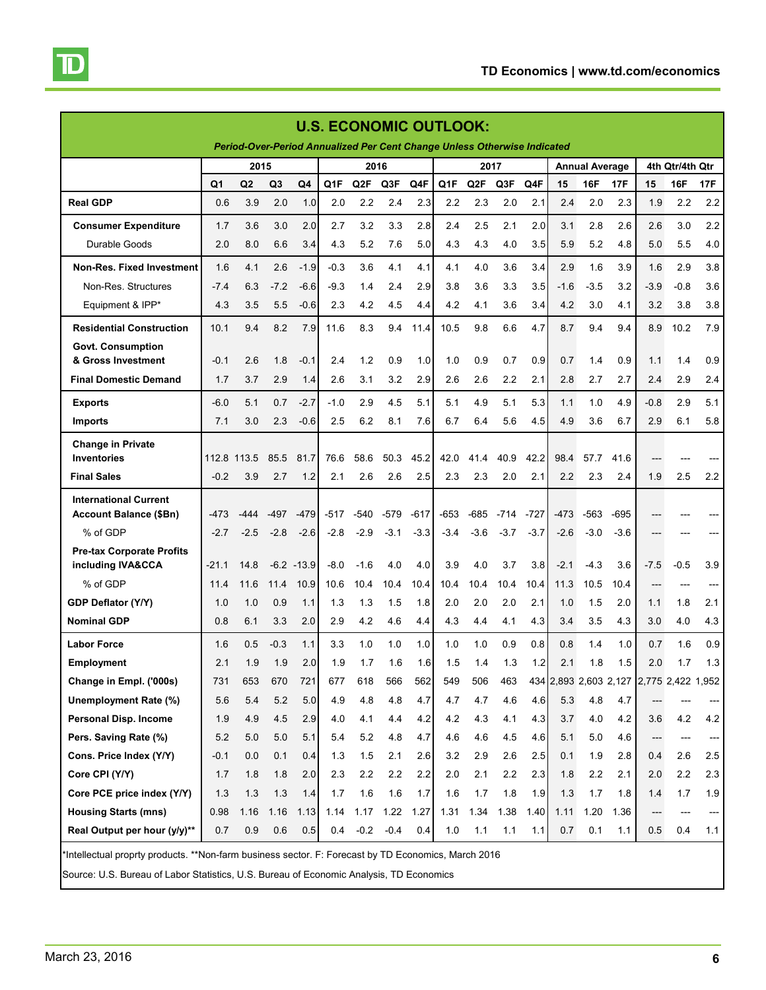<span id="page-5-0"></span>

| <b>U.S. ECONOMIC OUTLOOK:</b>                                                                       |                |                                                                          |        |         |                  |                  |        |        |                  |                  |                       |        |        |                 |        |                                         |            |       |
|-----------------------------------------------------------------------------------------------------|----------------|--------------------------------------------------------------------------|--------|---------|------------------|------------------|--------|--------|------------------|------------------|-----------------------|--------|--------|-----------------|--------|-----------------------------------------|------------|-------|
|                                                                                                     |                | Period-Over-Period Annualized Per Cent Change Unless Otherwise Indicated |        |         |                  |                  |        |        |                  |                  |                       |        |        |                 |        |                                         |            |       |
|                                                                                                     |                | 2015                                                                     |        |         | 2016             |                  |        | 2017   |                  |                  | <b>Annual Average</b> |        |        | 4th Qtr/4th Qtr |        |                                         |            |       |
|                                                                                                     | Q <sub>1</sub> | Q <sub>2</sub>                                                           | Q3     | Q4      | Q <sub>1</sub> F | Q <sub>2</sub> F | Q3F    | Q4F    | Q <sub>1</sub> F | Q <sub>2</sub> F | Q3F                   | Q4F    | 15     | 16F             | 17F    | 15                                      | <b>16F</b> | 17F   |
| <b>Real GDP</b>                                                                                     | 0.6            | 3.9                                                                      | 2.0    | 1.0     | 2.0              | 2.2              | 2.4    | 2.3    | 2.2              | 2.3              | 2.0                   | 2.1    | 2.4    | 2.0             | 2.3    | 1.9                                     | 2.2        | 2.2   |
| <b>Consumer Expenditure</b>                                                                         | 1.7            | 3.6                                                                      | 3.0    | 2.0     | 2.7              | 3.2              | 3.3    | 2.8    | 2.4              | 2.5              | 2.1                   | 2.0    | 3.1    | 2.8             | 2.6    | 2.6                                     | 3.0        | 2.2   |
| Durable Goods                                                                                       | 2.0            | 8.0                                                                      | 6.6    | 3.4     | 4.3              | 5.2              | 7.6    | 5.0    | 4.3              | 4.3              | 4.0                   | 3.5    | 5.9    | 5.2             | 4.8    | 5.0                                     | 5.5        | 4.0   |
| <b>Non-Res. Fixed Investment</b>                                                                    | 1.6            | 4.1                                                                      | 2.6    | $-1.9$  | $-0.3$           | 3.6              | 4.1    | 4.1    | 4.1              | 4.0              | 3.6                   | 3.4    | 2.9    | 1.6             | 3.9    | 1.6                                     | 2.9        | 3.8   |
| Non-Res. Structures                                                                                 | $-7.4$         | 6.3                                                                      | $-7.2$ | $-6.6$  | $-9.3$           | 1.4              | 2.4    | 2.9    | 3.8              | 3.6              | 3.3                   | 3.5    | $-1.6$ | $-3.5$          | 3.2    | $-3.9$                                  | $-0.8$     | 3.6   |
| Equipment & IPP*                                                                                    | 4.3            | 3.5                                                                      | 5.5    | $-0.6$  | 2.3              | 4.2              | 4.5    | 4.4    | 4.2              | 4.1              | 3.6                   | 3.4    | 4.2    | 3.0             | 4.1    | 3.2                                     | 3.8        | 3.8   |
| <b>Residential Construction</b>                                                                     | 10.1           | 9.4                                                                      | 8.2    | 7.9     | 11.6             | 8.3              | 9.4    | 11.4   | 10.5             | 9.8              | 6.6                   | 4.7    | 8.7    | 9.4             | 9.4    | 8.9                                     | 10.2       | 7.9   |
| <b>Govt. Consumption</b>                                                                            |                |                                                                          |        |         |                  |                  |        |        |                  |                  |                       |        |        |                 |        |                                         |            |       |
| & Gross Investment                                                                                  | $-0.1$         | 2.6                                                                      | 1.8    | $-0.1$  | 2.4              | 1.2              | 0.9    | 1.0    | 1.0              | 0.9              | 0.7                   | 0.9    | 0.7    | 1.4             | 0.9    | 1.1                                     | 1.4        | 0.9   |
| <b>Final Domestic Demand</b>                                                                        | 1.7            | 3.7                                                                      | 2.9    | 1.4     | 2.6              | 3.1              | 3.2    | 2.9    | 2.6              | 2.6              | 2.2                   | 2.1    | 2.8    | 2.7             | 2.7    | 2.4                                     | 2.9        | 2.4   |
| <b>Exports</b>                                                                                      | $-6.0$         | 5.1                                                                      | 0.7    | $-2.7$  | $-1.0$           | 2.9              | 4.5    | 5.1    | 5.1              | 4.9              | 5.1                   | 5.3    | 1.1    | 1.0             | 4.9    | $-0.8$                                  | 2.9        | 5.1   |
| <b>Imports</b>                                                                                      | 7.1            | 3.0                                                                      | 2.3    | $-0.6$  | 2.5              | 6.2              | 8.1    | 7.6    | 6.7              | 6.4              | 5.6                   | 4.5    | 4.9    | 3.6             | 6.7    | 2.9                                     | 6.1        | 5.8   |
| <b>Change in Private</b>                                                                            |                |                                                                          |        |         |                  |                  |        |        |                  |                  |                       |        |        |                 |        |                                         |            |       |
| <b>Inventories</b>                                                                                  | 112.8 113.5    |                                                                          | 85.5   | 81.7    | 76.6             | 58.6             | 50.3   | 45.2   | 42.0             | 41.4             | 40.9                  | 42.2   | 98.4   | 57.7            | 41.6   |                                         |            |       |
| <b>Final Sales</b>                                                                                  | $-0.2$         | 3.9                                                                      | 2.7    | 1.2     | 2.1              | 2.6              | 2.6    | 2.5    | 2.3              | 2.3              | 2.0                   | 2.1    | 2.2    | 2.3             | 2.4    | 1.9                                     | 2.5        | 2.2   |
| <b>International Current</b>                                                                        |                |                                                                          |        |         |                  |                  |        |        |                  |                  |                       |        |        |                 |        |                                         |            |       |
| <b>Account Balance (\$Bn)</b>                                                                       | -473           | -444                                                                     | $-497$ | -479    | $-517$           | $-540$           | $-579$ | $-617$ | $-653$           | $-685$           | -714                  | -727   | -473   | -563            | $-695$ |                                         |            |       |
| % of GDP                                                                                            | $-2.7$         | $-2.5$                                                                   | $-2.8$ | $-2.6$  | $-2.8$           | $-2.9$           | $-3.1$ | $-3.3$ | $-3.4$           | $-3.6$           | $-3.7$                | $-3.7$ | $-2.6$ | $-3.0$          | $-3.6$ |                                         |            |       |
| <b>Pre-tax Corporate Profits</b><br>including IVA&CCA                                               | -21.1          | 14.8                                                                     | $-6.2$ | $-13.9$ | $-8.0$           | $-1.6$           | 4.0    | 4.0    | 3.9              | 4.0              | 3.7                   | 3.8    | $-2.1$ | $-4.3$          | 3.6    | $-7.5$                                  | $-0.5$     | 3.9   |
| % of GDP                                                                                            | 11.4           | 11.6                                                                     | 11.4   | 10.9    | 10.6             | 10.4             | 10.4   | 10.4   | 10.4             | 10.4             | 10.4                  | 10.4   | 11.3   | 10.5            | 10.4   |                                         | $---$      | $---$ |
| <b>GDP Deflator (Y/Y)</b>                                                                           | 1.0            | 1.0                                                                      | 0.9    | 1.1     | 1.3              | 1.3              | 1.5    | 1.8    | 2.0              | 2.0              | 2.0                   | 2.1    | 1.0    | 1.5             | 2.0    | 1.1                                     | 1.8        | 2.1   |
| <b>Nominal GDP</b>                                                                                  | 0.8            | 6.1                                                                      | 3.3    | 2.0     | 2.9              | 4.2              | 4.6    | 4.4    | 4.3              | 4.4              | 4.1                   | 4.3    | 3.4    | 3.5             | 4.3    | 3.0                                     | 4.0        | 4.3   |
| <b>Labor Force</b>                                                                                  | 1.6            | 0.5                                                                      | $-0.3$ | 1.1     | 3.3              | 1.0              | 1.0    | 1.0    | 1.0              | 1.0              | 0.9                   | 0.8    | 0.8    | 1.4             | 1.0    | 0.7                                     | 1.6        | 0.9   |
| <b>Employment</b>                                                                                   | 2.1            | 1.9                                                                      | 1.9    | 2.0     | 1.9              | 1.7              | 1.6    | 1.6    | 1.5              | 1.4              | 1.3                   | 1.2    | 2.1    | 1.8             | 1.5    | 2.0                                     | 1.7        | 1.3   |
| Change in Empl. ('000s)                                                                             | 731            | 653                                                                      | 670    | 721     | 677              | 618              | 566    | 562    | 549              | 506              | 463                   |        |        |                 |        | 434 2,893 2,603 2,127 2,775 2,422 1,952 |            |       |
| Unemployment Rate (%)                                                                               | 5.6            | 5.4                                                                      | 5.2    | 5.0     | 4.9              | 4.8              | 4.8    | 4.7    | 4.7              | 4.7              | 4.6                   | 4.6    | 5.3    | 4.8             | 4.7    |                                         |            |       |
| Personal Disp. Income                                                                               | 1.9            | 4.9                                                                      | 4.5    | 2.9     | 4.0              | 4.1              | 4.4    | 4.2    | 4.2              | 4.3              | 4.1                   | 4.3    | 3.7    | 4.0             | 4.2    | 3.6                                     | 4.2        | 4.2   |
| Pers. Saving Rate (%)                                                                               | 5.2            | 5.0                                                                      | 5.0    | 5.1     | 5.4              | 5.2              | 4.8    | 4.7    | 4.6              | 4.6              | 4.5                   | 4.6    | 5.1    | 5.0             | 4.6    | $\hspace{0.05cm}---\hspace{0.05cm}$     | $---$      | ---   |
| Cons. Price Index (Y/Y)                                                                             | $-0.1$         | 0.0                                                                      | 0.1    | 0.4     | 1.3              | 1.5              | 2.1    | 2.6    | 3.2              | 2.9              | 2.6                   | 2.5    | 0.1    | 1.9             | 2.8    | 0.4                                     | 2.6        | 2.5   |
| Core CPI (Y/Y)                                                                                      | 1.7            | 1.8                                                                      | 1.8    | 2.0     | 2.3              | 2.2              | 2.2    | 2.2    | 2.0              | 2.1              | 2.2                   | 2.3    | 1.8    | 2.2             | 2.1    | 2.0                                     | 2.2        | 2.3   |
| Core PCE price index (Y/Y)                                                                          | 1.3            | 1.3                                                                      | 1.3    | 1.4     | 1.7              | 1.6              | 1.6    | 1.7    | 1.6              | 1.7              | 1.8                   | 1.9    | 1.3    | 1.7             | 1.8    | 1.4                                     | 1.7        | 1.9   |
| <b>Housing Starts (mns)</b>                                                                         | 0.98           | 1.16                                                                     | 1.16   | 1.13    | 1.14             | 1.17             | 1.22   | 1.27   | 1.31             | 1.34             | 1.38                  | 1.40   | 1.11   | 1.20            | 1.36   |                                         |            |       |
| Real Output per hour (y/y)**                                                                        | 0.7            | 0.9                                                                      | 0.6    | 0.5     | 0.4              | $-0.2$           | $-0.4$ | 0.4    | 1.0              | 1.1              | 1.1                   | 1.1    | 0.7    | 0.1             | 1.1    | 0.5                                     | 0.4        | 1.1   |
| Intellectual proprty products. **Non-farm business sector. F: Forecast by TD Economics, March 2016* |                |                                                                          |        |         |                  |                  |        |        |                  |                  |                       |        |        |                 |        |                                         |            |       |

Source: U.S. Bureau of Labor Statistics, U.S. Bureau of Economic Analysis, TD Economics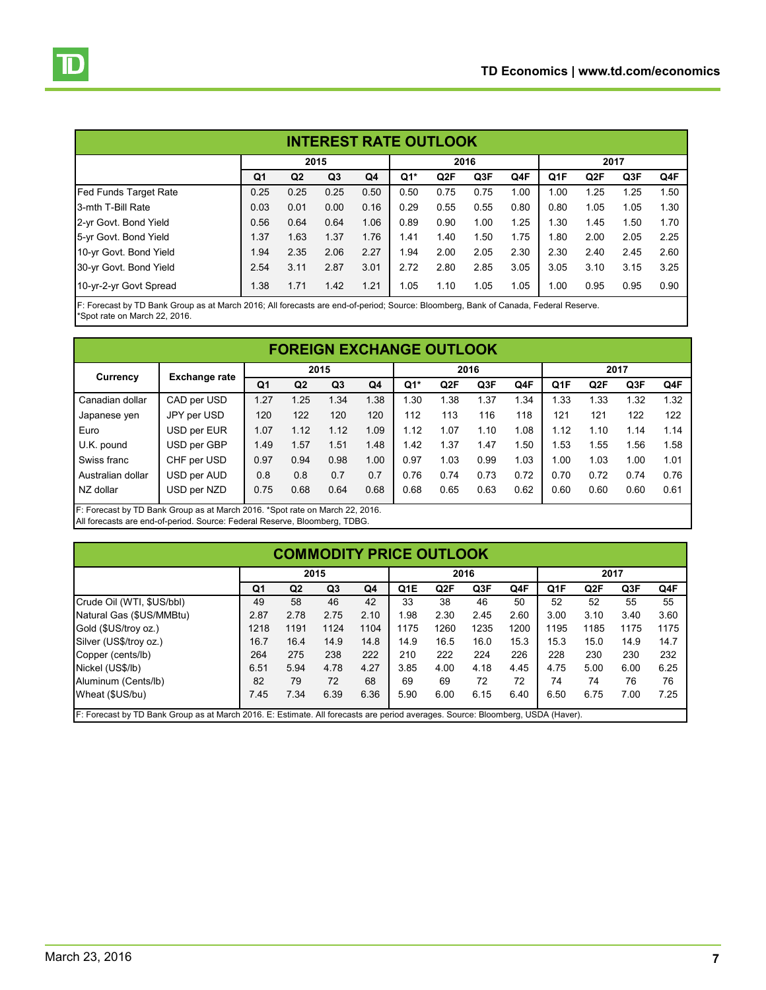<span id="page-6-0"></span>

| <b>INTEREST RATE OUTLOOK</b> |                |                |                |      |       |      |      |      |                  |                  |      |      |  |
|------------------------------|----------------|----------------|----------------|------|-------|------|------|------|------------------|------------------|------|------|--|
|                              | 2015           |                |                |      |       |      | 2016 |      | 2017             |                  |      |      |  |
|                              | Q <sub>1</sub> | Q <sub>2</sub> | Q <sub>3</sub> | Q4   | $Q1*$ | Q2F  | Q3F  | Q4F  | Q <sub>1</sub> F | Q <sub>2</sub> F | Q3F  | Q4F  |  |
| Fed Funds Target Rate        | 0.25           | 0.25           | 0.25           | 0.50 | 0.50  | 0.75 | 0.75 | 1.00 | 1.00             | 1.25             | 1.25 | 1.50 |  |
| 3-mth T-Bill Rate            | 0.03           | 0.01           | 0.00           | 0.16 | 0.29  | 0.55 | 0.55 | 0.80 | 0.80             | 1.05             | 1.05 | 1.30 |  |
| 2-yr Govt. Bond Yield        | 0.56           | 0.64           | 0.64           | 1.06 | 0.89  | 0.90 | 1.00 | 1.25 | .30              | 1.45             | 1.50 | 1.70 |  |
| 5-yr Govt. Bond Yield        | 1.37           | 1.63           | 1.37           | 1.76 | 1.41  | 1.40 | 1.50 | 1.75 | .80              | 2.00             | 2.05 | 2.25 |  |
| 10-yr Govt. Bond Yield       | 1.94           | 2.35           | 2.06           | 2.27 | 1.94  | 2.00 | 2.05 | 2.30 | 2.30             | 2.40             | 2.45 | 2.60 |  |
| 30-yr Govt. Bond Yield       | 2.54           | 3.11           | 2.87           | 3.01 | 2.72  | 2.80 | 2.85 | 3.05 | 3.05             | 3.10             | 3.15 | 3.25 |  |
| 10-yr-2-yr Govt Spread       | 1.38           | 1.71           | 1.42           | 1.21 | 1.05  | 1.10 | 1.05 | 1.05 | 1.00             | 0.95             | 0.95 | 0.90 |  |

F: Forecast by TD Bank Group as at March 2016; All forecasts are end-of-period; Source: Bloomberg, Bank of Canada, Federal Reserve. \*Spot rate on March 22, 2016.

| <b>FOREIGN EXCHANGE OUTLOOK</b> |                      |                |                |                |      |        |                  |      |      |                  |                  |      |      |  |
|---------------------------------|----------------------|----------------|----------------|----------------|------|--------|------------------|------|------|------------------|------------------|------|------|--|
| Currency                        | <b>Exchange rate</b> | 2015           |                |                |      |        |                  | 2016 |      | 2017             |                  |      |      |  |
|                                 |                      | Q <sub>1</sub> | Q <sub>2</sub> | Q <sub>3</sub> | Q4   | $Q1^*$ | Q <sub>2</sub> F | Q3F  | Q4F  | Q <sub>1</sub> F | Q <sub>2</sub> F | Q3F  | Q4F  |  |
| Canadian dollar                 | CAD per USD          | 1.27           | 1.25           | 1.34           | 1.38 | 1.30   | 1.38             | 1.37 | 1.34 | 1.33             | 1.33             | 1.32 | 1.32 |  |
| Japanese ven                    | JPY per USD          | 120            | 122            | 120            | 120  | 112    | 113              | 116  | 118  | 121              | 121              | 122  | 122  |  |
| Euro                            | USD per EUR          | 1.07           | 1.12           | 1.12           | 1.09 | 1.12   | 1.07             | 1.10 | 1.08 | 1.12             | 1.10             | 1.14 | 1.14 |  |
| U.K. pound                      | USD per GBP          | 1.49           | 1.57           | 1.51           | 1.48 | 1.42   | 1.37             | 1.47 | 1.50 | 1.53             | 1.55             | 1.56 | 1.58 |  |
| Swiss franc                     | CHF per USD          | 0.97           | 0.94           | 0.98           | 1.00 | 0.97   | 1.03             | 0.99 | 1.03 | 1.00             | 1.03             | 1.00 | 1.01 |  |
| Australian dollar               | USD per AUD          | 0.8            | 0.8            | 0.7            | 0.7  | 0.76   | 0.74             | 0.73 | 0.72 | 0.70             | 0.72             | 0.74 | 0.76 |  |
| NZ dollar                       | USD per NZD          | 0.75           | 0.68           | 0.64           | 0.68 | 0.68   | 0.65             | 0.63 | 0.62 | 0.60             | 0.60             | 0.60 | 0.61 |  |

F: Forecast by TD Bank Group as at March 2016. \*Spot rate on March 22, 2016. All forecasts are end-of-period. Source: Federal Reserve, Bloomberg, TDBG.

# **COMMODITY PRICE OUTLOOK**

|                | 2015           |                |      | 2016             |                  |      |      | 2017             |                  |      |      |  |
|----------------|----------------|----------------|------|------------------|------------------|------|------|------------------|------------------|------|------|--|
| Q <sub>1</sub> | Q <sub>2</sub> | Q <sub>3</sub> | Q4   | Q <sub>1</sub> E | Q <sub>2</sub> F | Q3F  | Q4F  | Q <sub>1</sub> F | Q <sub>2</sub> F | Q3F  | Q4F  |  |
| 49             | 58             | 46             | 42   | 33               | 38               | 46   | 50   | 52               | 52               | 55   | 55   |  |
| 2.87           | 2.78           | 2.75           | 2.10 | 1.98             | 2.30             | 2.45 | 2.60 | 3.00             | 3.10             | 3.40 | 3.60 |  |
| 1218           | 1191           | 1124           | 1104 | 1175             | 1260             | 1235 | 1200 | 1195             | 1185             | 1175 | 1175 |  |
| 16.7           | 16.4           | 14.9           | 14.8 | 14.9             | 16.5             | 16.0 | 15.3 | 15.3             | 15.0             | 14.9 | 14.7 |  |
| 264            | 275            | 238            | 222  | 210              | 222              | 224  | 226  | 228              | 230              | 230  | 232  |  |
| 6.51           | 5.94           | 4.78           | 4.27 | 3.85             | 4.00             | 4.18 | 4.45 | 4.75             | 5.00             | 6.00 | 6.25 |  |
| 82             | 79             | 72             | 68   | 69               | 69               | 72   | 72   | 74               | 74               | 76   | 76   |  |
| 7.45           | 7.34           | 6.39           | 6.36 | 5.90             | 6.00             | 6.15 | 6.40 | 6.50             | 6.75             | 7.00 | 7.25 |  |
|                |                |                |      |                  |                  |      |      |                  |                  |      |      |  |